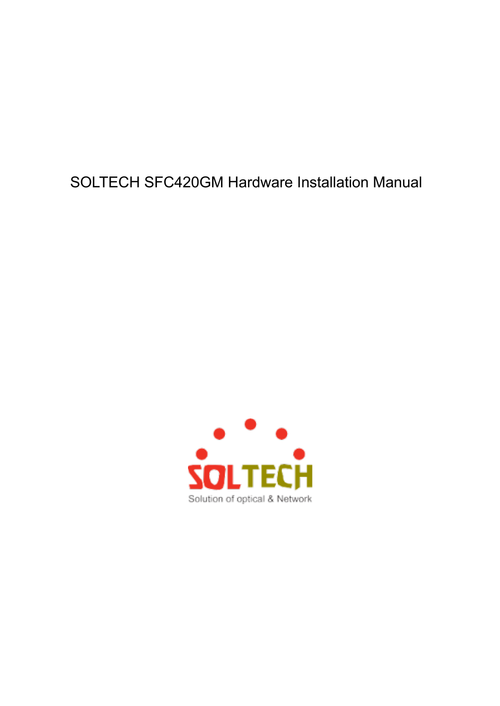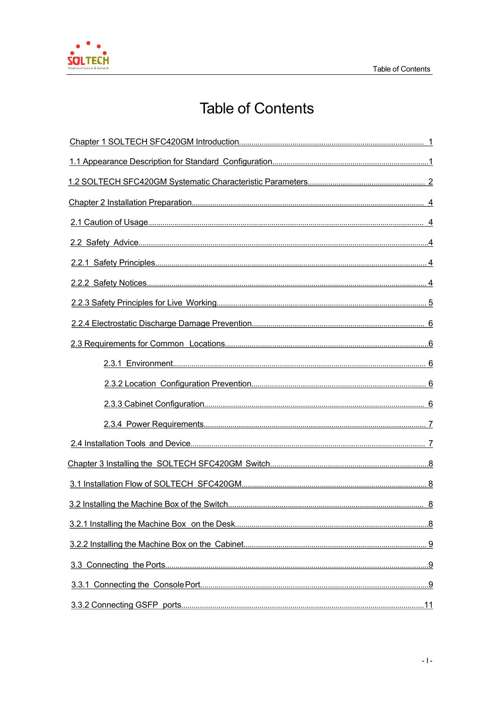

# **Table of Contents**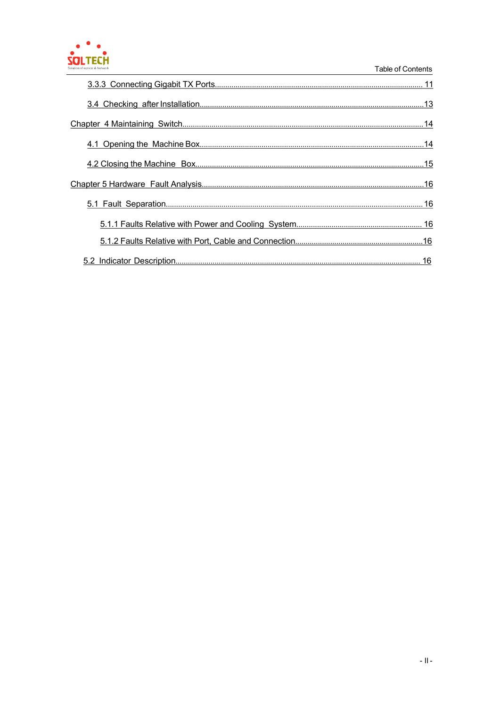# SOLTECH

### Table of Contents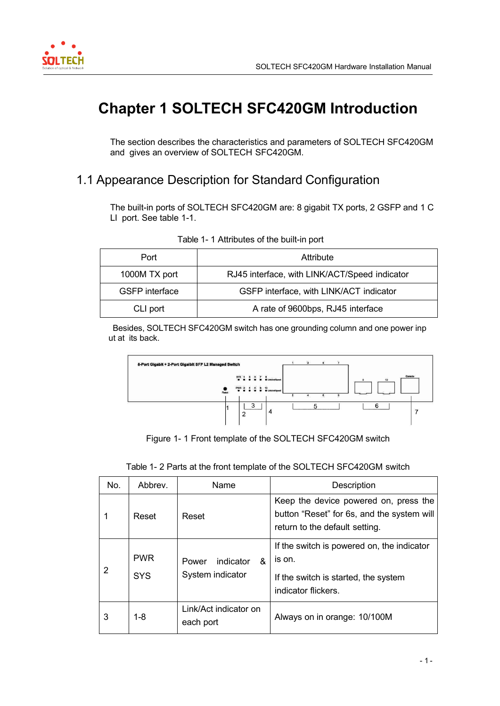

<span id="page-3-0"></span>

# **Chapter 1 SOLTECH SFC420GM Introduction**

The section describes the characteristics and parameters of SOLTECH SFC420GM and gives an overview of SOLTECH SFC420GM.

### 1.1 Appearance Description for Standard Configuration

The built-in ports of SOLTECH SFC420GM are: 8 gigabit TX ports, 2 GSFP and 1 C LI port. See table 1-1.

| Port                  | Attribute                                     |
|-----------------------|-----------------------------------------------|
| 1000M TX port         | RJ45 interface, with LINK/ACT/Speed indicator |
| <b>GSFP</b> interface | GSFP interface, with LINK/ACT indicator       |
| CLI port              | A rate of 9600bps, RJ45 interface             |

#### Table 1- 1 Attributes of the built-in port

Besides, SOLTECH SFC420GM switch has one grounding column and one power inp ut at its back.



Figure 1- 1 Front template of the SOLTECH SFC420GM switch

| No. | Abbrey.                  | Name                                        | Description                                                                                                           |
|-----|--------------------------|---------------------------------------------|-----------------------------------------------------------------------------------------------------------------------|
|     | Reset                    | Reset                                       | Keep the device powered on, press the<br>button "Reset" for 6s, and the system will<br>return to the default setting. |
| 2   | <b>PWR</b><br><b>SYS</b> | &<br>indicator<br>Power<br>System indicator | If the switch is powered on, the indicator<br>is on.<br>If the switch is started, the system<br>indicator flickers.   |
| 3   | $1 - 8$                  | Link/Act indicator on<br>each port          | Always on in orange: 10/100M                                                                                          |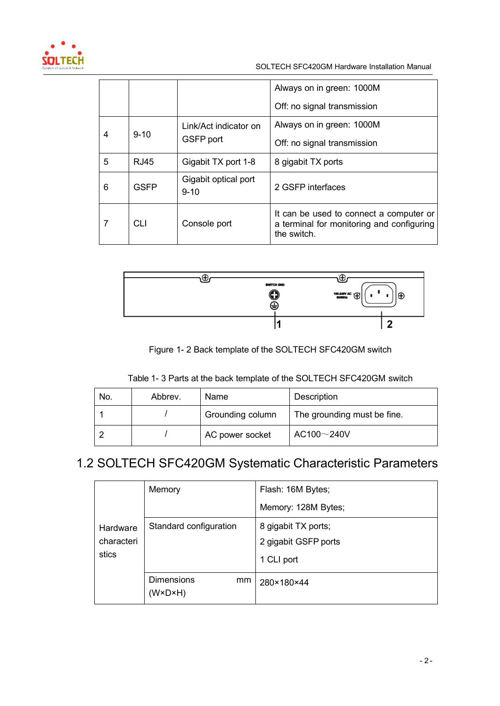<span id="page-4-0"></span>

|               |                  |                                  | Always on in green: 1000M                                                                           |
|---------------|------------------|----------------------------------|-----------------------------------------------------------------------------------------------------|
|               |                  |                                  | Off: no signal transmission                                                                         |
|               |                  | Link/Act indicator on            | Always on in green: 1000M                                                                           |
| $9 - 10$<br>4 | <b>GSFP</b> port | Off: no signal transmission      |                                                                                                     |
| 5             | <b>RJ45</b>      | Gigabit TX port 1-8              | 8 gigabit TX ports                                                                                  |
| 6             | <b>GSFP</b>      | Gigabit optical port<br>$9 - 10$ | 2 GSFP interfaces                                                                                   |
| 7             | CLI              | Console port                     | It can be used to connect a computer or<br>a terminal for monitoring and configuring<br>the switch. |



Figure 1- 2 Back template of the SOLTECH SFC420GM switch

| Table 1- 3 Parts at the back template of the SOLTECH SFC420GM switch |  |
|----------------------------------------------------------------------|--|
|----------------------------------------------------------------------|--|

| No. | Abbrey. | Name             | Description                 |
|-----|---------|------------------|-----------------------------|
|     |         | Grounding column | The grounding must be fine. |
|     |         | AC power socket  | AC100~240V                  |

# 1.2 SOLTECH SFC420GM Systematic Characteristic Parameters

|            | Memory                                             | Flash: 16M Bytes;    |
|------------|----------------------------------------------------|----------------------|
|            |                                                    | Memory: 128M Bytes;  |
| Hardware   | Standard configuration                             | 8 gigabit TX ports;  |
| characteri |                                                    | 2 gigabit GSFP ports |
| stics      |                                                    | 1 CLI port           |
|            | <b>Dimensions</b><br>mm<br>$(W \times D \times H)$ | 280×180×44           |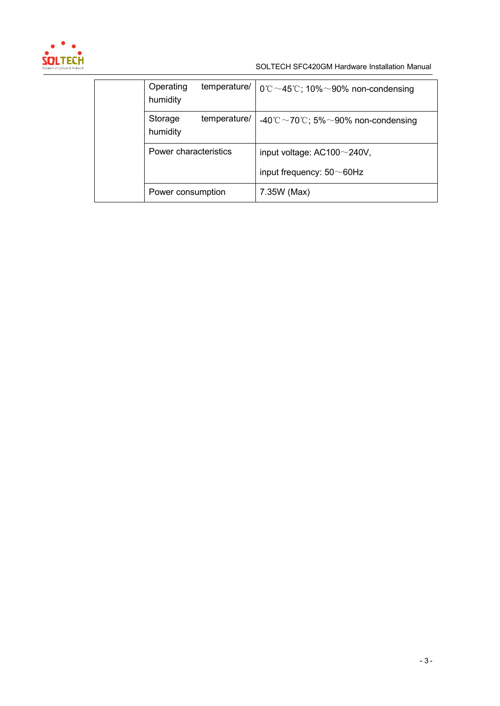

| temperature/<br>Operating<br>humidity | $0^{\circ}$ C ~45°C; 10% ~90% non-condensing |
|---------------------------------------|----------------------------------------------|
| temperature/<br>Storage<br>humidity   | -40°C ~70°C; 5% ~90% non-condensing          |
| Power characteristics                 | input voltage: $AC100 \sim 240V$ ,           |
|                                       | input frequency: $50\neg 60$ Hz              |
| Power consumption                     | 7.35W (Max)                                  |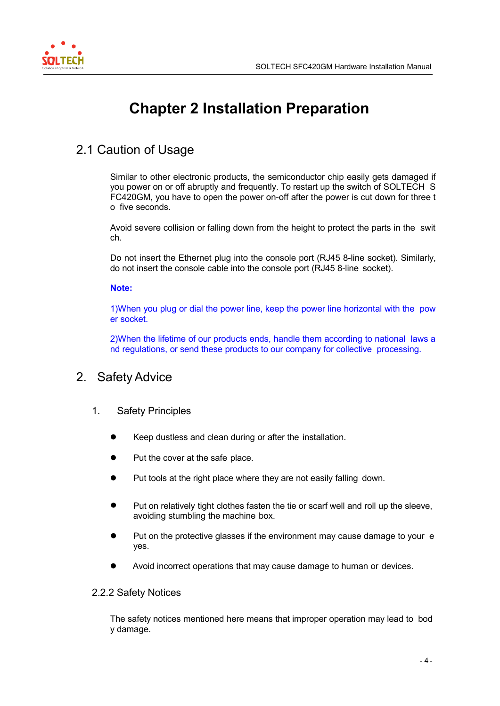<span id="page-6-0"></span>

# **Chapter 2 Installation Preparation**

# 2.1 Caution of Usage

Similar to other electronic products, the semiconductor chip easily gets damaged if you power on or off abruptly and frequently. To restart up the switch of SOLTECH S FC420GM, you have to open the power on-off after the power is cut down for three t o five seconds.

Avoid severe collision or falling down from the height to protect the parts in the swit ch.

Do not insert the Ethernet plug into the console port (RJ45 8-line socket). Similarly, do not insert the console cable into the console port (RJ45 8-line socket).

### **Note:**

1)When you plug or dial the power line, keep the power line horizontal with the pow er socket.

2)When the lifetime of our products ends, handle them according to national laws a nd regulations, or send these products to our company for collective processing.

### 2. Safety Advice

- 1. Safety Principles
	- Keep dustless and clean during or after the installation.
	- Put the cover at the safe place.
	- Put tools at the right place where they are not easily falling down.
	- Put on relatively tight clothes fasten the tie or scarf well and roll up the sleeve, avoiding stumbling the machine box.
	- Put on the protective glasses if the environment may cause damage to your e yes.
	- Avoid incorrect operations that may cause damage to human or devices.

#### 2.2.2 Safety Notices

The safety notices mentioned here means that improper operation may lead to bod y damage.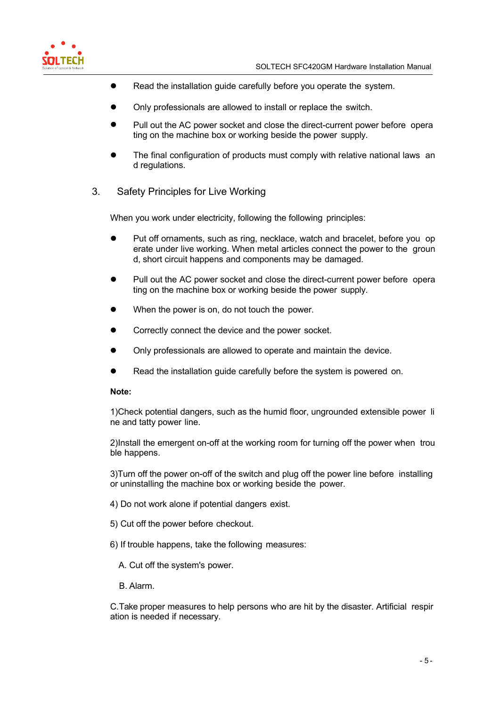<span id="page-7-0"></span>

- Read the installation guide carefully before you operate the system.
- Only professionals are allowed to install or replace the switch.
- Pull out the AC power socket and close the direct-current power before opera ting on the machine box or working beside the power supply.
- The final configuration of products must comply with relative national laws an d regulations.
- 3. Safety Principles for Live Working

When you work under electricity, following the following principles:

- Put off ornaments, such as ring, necklace, watch and bracelet, before you op erate under live working. When metal articles connect the power to the groun d, short circuit happens and components may be damaged.
- Pull out the AC power socket and close the direct-current power before opera ting on the machine box or working beside the power supply.
- When the power is on, do not touch the power.
- Correctly connect the device and the power socket.
- Only professionals are allowed to operate and maintain the device.
- Read the installation guide carefully before the system is powered on.

#### **Note:**

1)Check potential dangers, such as the humid floor, ungrounded extensible power li ne and tatty power line.

2)Install the emergent on-off at the working room for turning off the power when trou ble happens.

3)Turn off the power on-off of the switch and plug off the power line before installing or uninstalling the machine box or working beside the power.

- 4) Do not work alone if potential dangers exist.
- 5) Cut off the power before checkout.
- 6) If trouble happens, take the following measures:
	- A. Cut off the system's power.
	- B. Alarm.

C.Take proper measures to help persons who are hit by the disaster. Artificial respir ation is needed if necessary.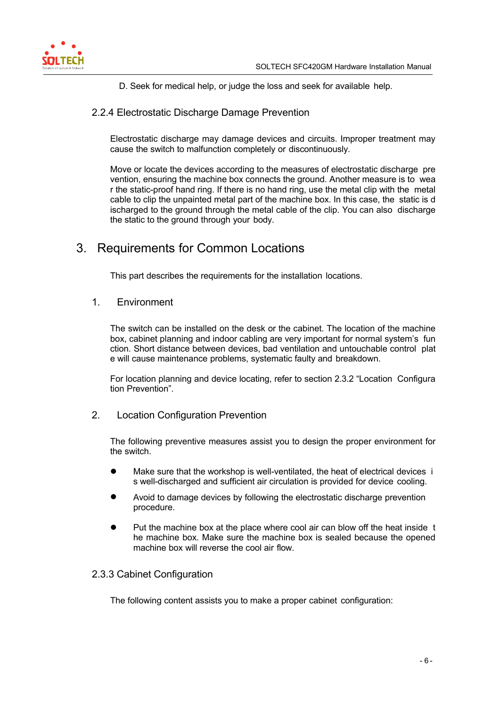<span id="page-8-0"></span>

D. Seek for medical help, or judge the loss and seek for available help.

### 2.2.4 Electrostatic Discharge Damage Prevention

Electrostatic discharge may damage devices and circuits. Improper treatment may cause the switch to malfunction completely or discontinuously.

Move or locate the devices according to the measures of electrostatic discharge pre vention, ensuring the machine box connects the ground. Another measure is to wea r the static-proof hand ring. If there is no hand ring, use the metal clip with the metal cable to clip the unpainted metal part of the machine box. In this case, the static is d ischarged to the ground through the metal cable of the clip. You can also discharge the static to the ground through your body.

### 3. Requirements for Common Locations

This part describes the requirements for the installation locations.

### 1. Environment

The switch can be installed on the desk or the cabinet. The location of the machine box, cabinet planning and indoor cabling are very important for normal system's fun ction. Short distance between devices, bad ventilation and untouchable control plat e will cause maintenance problems, systematic faulty and breakdown.

For location planning and device locating, refer to section 2.3.2 "Location Configura tion Prevention".

2. Location Configuration Prevention

The following preventive measures assist you to design the proper environment for the switch.

- Make sure that the workshop is well-ventilated, the heat of electrical devices i s well-discharged and sufficient air circulation is provided for device cooling.
- Avoid to damage devices by following the electrostatic discharge prevention procedure.
- Put the machine box at the place where cool air can blow off the heat inside t he machine box. Make sure the machine box is sealed because the opened machine box will reverse the cool air flow.

### 2.3.3 Cabinet Configuration

The following content assists you to make a proper cabinet configuration: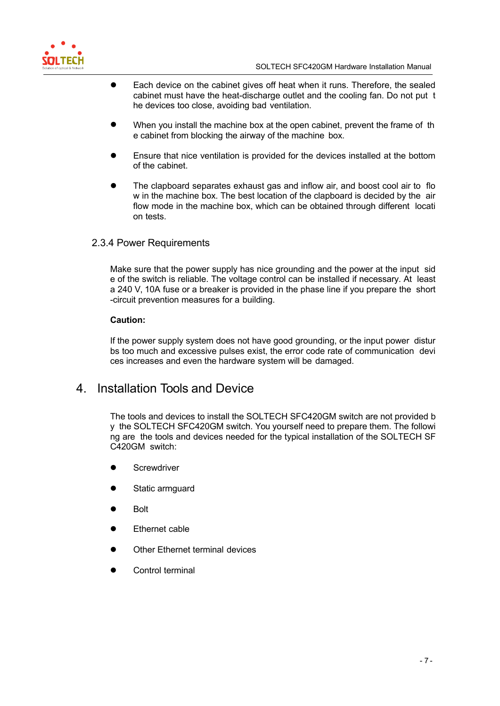<span id="page-9-0"></span>

- Each device on the cabinet gives off heat when it runs. Therefore, the sealed cabinet must have the heat-discharge outlet and the cooling fan. Do not put t he devices too close, avoiding bad ventilation.
- When you install the machine box at the open cabinet, prevent the frame of th e cabinet from blocking the airway of the machine box.
- Ensure that nice ventilation is provided for the devices installed at the bottom of the cabinet.
- The clapboard separates exhaust gas and inflow air, and boost cool air to flo w in the machine box. The best location of the clapboard is decided by the air flow mode in the machine box, which can be obtained through different locati on tests.

### 2.3.4 Power Requirements

Make sure that the power supply has nice grounding and the power at the input sid e of the switch is reliable. The voltage control can be installed if necessary. At least a 240 V, 10A fuse or a breaker is provided in the phase line if you prepare the short -circuit prevention measures for a building.

#### **Caution:**

If the power supply system does not have good grounding, or the input power distur bs too much and excessive pulses exist, the error code rate of communication devi ces increases and even the hardware system will be damaged.

### 4. Installation Tools and Device

The tools and devices to install the SOLTECH SFC420GM switch are not provided b y the SOLTECH SFC420GM switch. You yourself need to prepare them. The followi ng are the tools and devices needed for the typical installation of the SOLTECH SF C420GM switch:

- **Screwdriver**
- Static armguard
- Bolt
- Ethernet cable
- Other Ethernet terminal devices
- Control terminal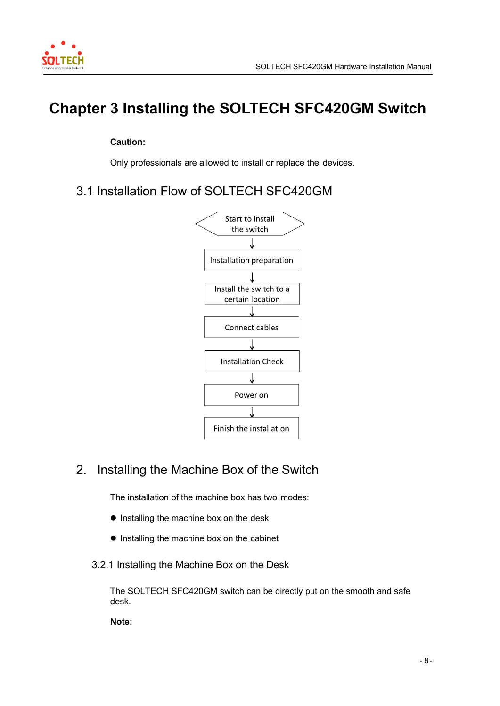<span id="page-10-0"></span>

# **Chapter 3 Installing the SOLTECH SFC420GM Switch**

### **Caution:**

Only professionals are allowed to install or replace the devices.

3.1 Installation Flow of SOLTECH SFC420GM



# 2. Installing the Machine Box of the Switch

The installation of the machine box has two modes:

- Installing the machine box on the desk
- $\bullet$  Installing the machine box on the cabinet
- 3.2.1 Installing the Machine Box on the Desk

The SOLTECH SFC420GM switch can be directly put on the smooth and safe desk.

**Note:**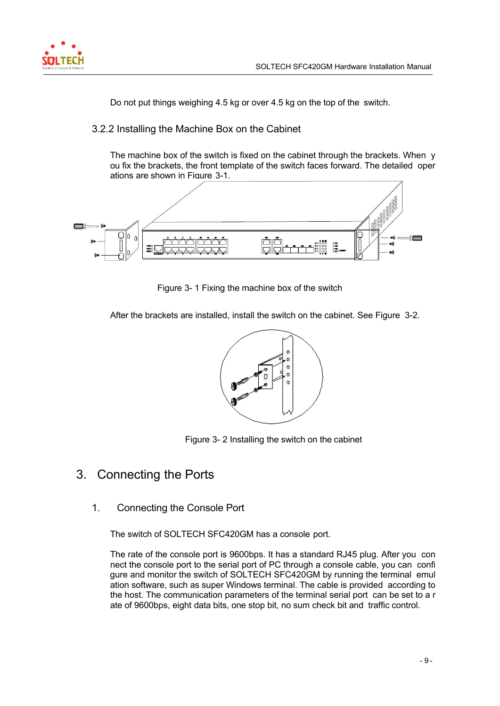<span id="page-11-0"></span>

Do not put things weighing 4.5 kg or over 4.5 kg on the top of the switch.

### 3.2.2 Installing the Machine Box on the Cabinet

The machine box of the switch is fixed on the cabinet through the brackets. When y ou fix the brackets, the front template of the switch faces forward. The detailed oper ations are shown in Figure 3-1.



Figure 3- 1 Fixing the machine box of the switch

After the brackets are installed, install the switch on the cabinet. See Figure 3-2.



Figure 3- 2 Installing the switch on the cabinet

### 3. Connecting the Ports

1. Connecting the Console Port

The switch of SOLTECH SFC420GM has a console port.

The rate of the console port is 9600bps. It has a standard RJ45 plug. After you con nect the console port to the serial port of PC through a console cable, you can confi gure and monitor the switch of SOLTECH SFC420GM by running the terminal emul ation software, such as super Windows terminal. The cable is provided according to the host. The communication parameters of the terminal serial port can be set to a r ate of 9600bps, eight data bits, one stop bit, no sum check bit and traffic control.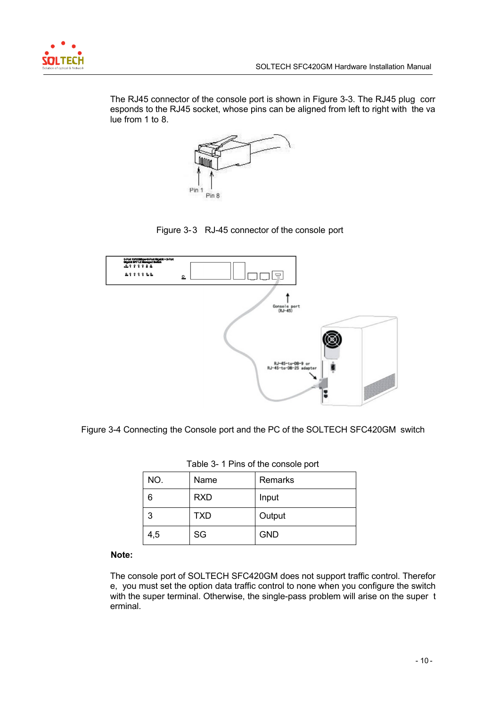

The RJ45 connector of the console port is shown in Figure 3-3. The RJ45 plug corr esponds to the RJ45 socket, whose pins can be aligned from left to right with the va lue from 1 to 8.







Figure 3-4 Connecting the Console port and the PC of the SOLTECH SFC420GM switch

| <b>TADIO OF TITING OF THE CONSOLUTION</b> |            |            |  |
|-------------------------------------------|------------|------------|--|
| NO.                                       | Name       | Remarks    |  |
| 6                                         | <b>RXD</b> | Input      |  |
| 3                                         | <b>TXD</b> | Output     |  |
| 4,5                                       | SG         | <b>GND</b> |  |

Table 3- 1 Pins of the console port

### **Note:**

The console port of SOLTECH SFC420GM does not support traffic control. Therefor e, you must set the option data traffic control to none when you configure the switch with the super terminal. Otherwise, the single-pass problem will arise on the super t erminal.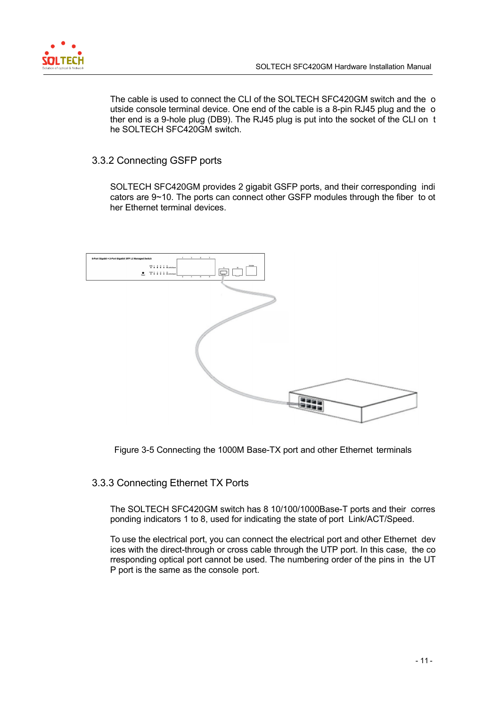<span id="page-13-0"></span>

The cable is used to connect the CLI of the SOLTECH SFC420GM switch and the o utside console terminal device. One end of the cable is a 8-pin RJ45 plug and the o ther end is a 9-hole plug (DB9). The RJ45 plug is put into the socket of the CLI on t he SOLTECH SFC420GM switch.

### 3.3.2 Connecting GSFP ports

SOLTECH SFC420GM provides 2 gigabit GSFP ports, and their corresponding indi cators are 9~10. The ports can connect other GSFP modules through the fiber to ot her Ethernet terminal devices.



Figure 3-5 Connecting the 1000M Base-TX port and other Ethernet terminals

### 3.3.3 Connecting Ethernet TX Ports

The SOLTECH SFC420GM switch has 8 10/100/1000Base-T ports and their corres ponding indicators 1 to 8, used for indicating the state of port Link/ACT/Speed.

To use the electrical port, you can connect the electrical port and other Ethernet dev ices with the direct-through or cross cable through the UTP port. In this case, the co rresponding optical port cannot be used. The numbering order of the pins in the UT P port is the same as the console port.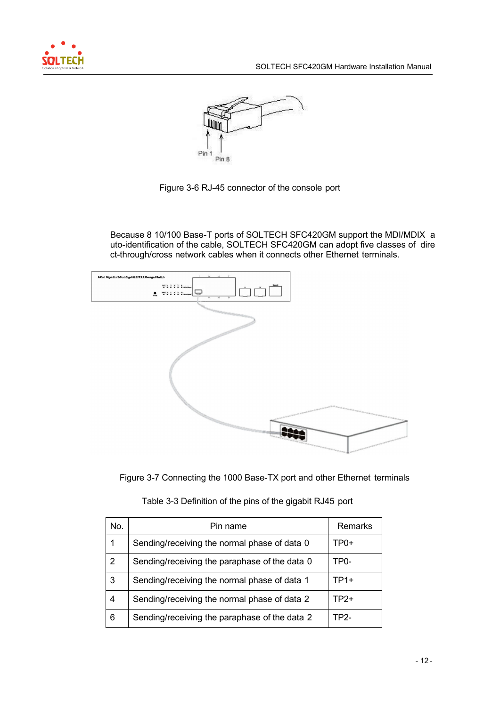



Figure 3-6 RJ-45 connector of the console port

Because 8 10/100 Base-T ports of SOLTECH SFC420GM support the MDI/MDIX a uto-identification of the cable, SOLTECH SFC420GM can adopt five classes of dire ct-through/cross network cables when it connects other Ethernet terminals.



Figure 3-7 Connecting the 1000 Base-TX port and other Ethernet terminals

| No.            | Pin name                                      | Remarks |
|----------------|-----------------------------------------------|---------|
| 1              | Sending/receiving the normal phase of data 0  | TP0+    |
| $\overline{2}$ | Sending/receiving the paraphase of the data 0 | TP0-    |
| 3              | Sending/receiving the normal phase of data 1  | $TP1+$  |
| 4              | Sending/receiving the normal phase of data 2  | TP2+    |
| 6              | Sending/receiving the paraphase of the data 2 | TP2-    |

| Table 3-3 Definition of the pins of the gigabit RJ45 port |  |  |  |  |
|-----------------------------------------------------------|--|--|--|--|
|                                                           |  |  |  |  |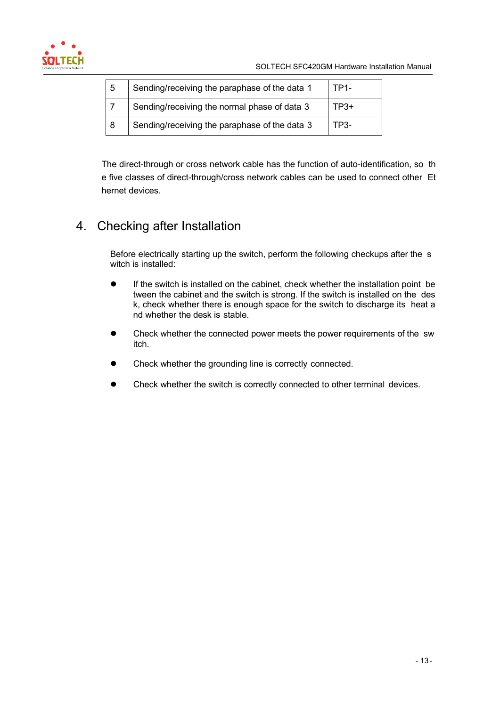<span id="page-15-0"></span>

| -5 | Sending/receiving the paraphase of the data 1 | TP1- |
|----|-----------------------------------------------|------|
|    | Sending/receiving the normal phase of data 3  | TP3+ |
| -8 | Sending/receiving the paraphase of the data 3 | TP3- |

The direct-through or cross network cable has the function of auto-identification, so th e five classes of direct-through/cross network cables can be used to connect other Et hernet devices.

# 4. Checking after Installation

Before electrically starting up the switch, perform the following checkups after the s witch is installed:

- If the switch is installed on the cabinet, check whether the installation point be tween the cabinet and the switch is strong. If the switch is installed on the des k, check whether there is enough space for the switch to discharge its heat a nd whether the desk is stable.
- Check whether the connected power meets the power requirements of the sw itch.
- Check whether the grounding line is correctly connected.
- Check whether the switch is correctly connected to other terminal devices.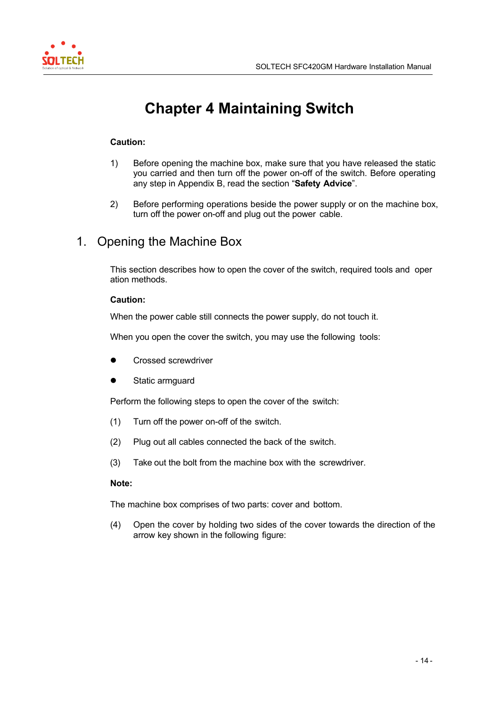<span id="page-16-0"></span>

# **Chapter 4 Maintaining Switch**

### **Caution:**

- 1) Before opening the machine box, make sure that you have released the static you carried and then turn off the power on-off of the switch. Before operating any step in Appendix B, read the section "**Safety Advice**".
- 2) Before performing operations beside the power supply or on the machine box, turn off the power on-off and plug out the power cable.

## 1. Opening the Machine Box

This section describes how to open the cover of the switch, required tools and oper ation methods.

### **Caution:**

When the power cable still connects the power supply, do not touch it.

When you open the cover the switch, you may use the following tools:

- Crossed screwdriver
- Static armguard

Perform the following steps to open the cover of the switch:

- (1) Turn off the power on-off of the switch.
- (2) Plug out all cables connected the back of the switch.
- (3) Take out the bolt from the machine box with the screwdriver.

#### **Note:**

The machine box comprises of two parts: cover and bottom.

(4) Open the cover by holding two sides of the cover towards the direction of the arrow key shown in the following figure: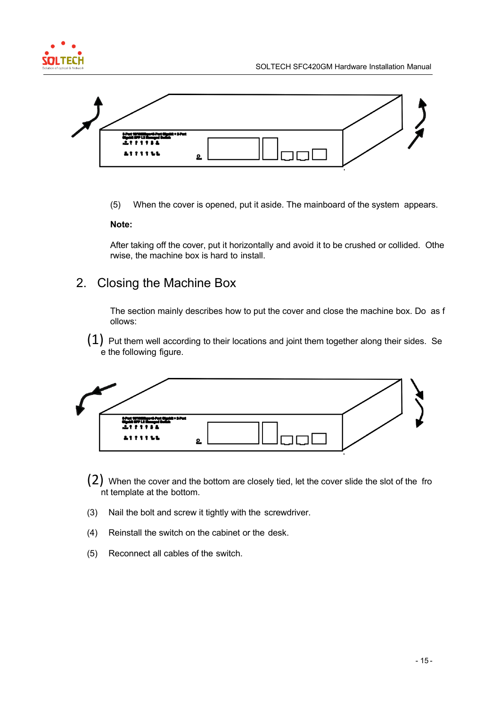<span id="page-17-0"></span>



(5) When the cover is opened, put it aside. The mainboard of the system appears.

#### **Note:**

After taking off the cover, put it horizontally and avoid it to be crushed or collided. Othe rwise, the machine box is hard to install.

## 2. Closing the Machine Box

The section mainly describes how to put the cover and close the machine box. Do as f ollows:

 $(1)$  Put them well according to their locations and joint them together along their sides. Se e the following figure.



- (2) When the cover and the bottom are closely tied, let the cover slide the slot of the fro nt template at the bottom.
- (3) Nail the bolt and screw it tightly with the screwdriver.
- (4) Reinstall the switch on the cabinet or the desk.
- (5) Reconnect all cables of the switch.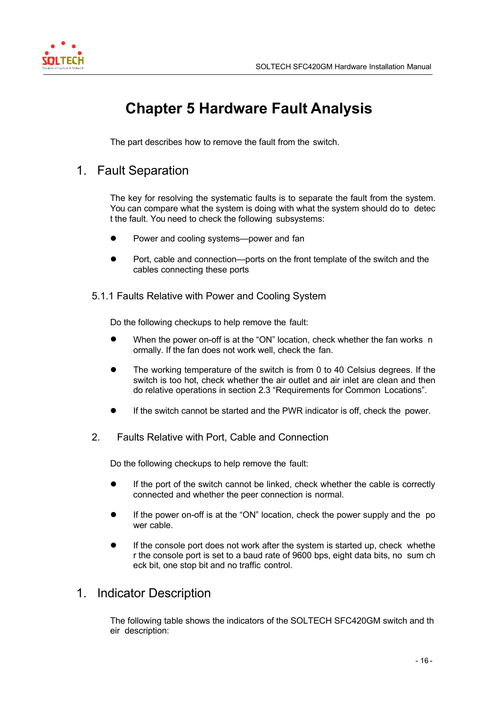<span id="page-18-0"></span>

# **Chapter 5 Hardware Fault Analysis**

The part describes how to remove the fault from the switch.

### 1. Fault Separation

The key for resolving the systematic faults is to separate the fault from the system. You can compare what the system is doing with what the system should do to detec t the fault. You need to check the following subsystems:

- Power and cooling systems—power and fan
- Port, cable and connection—ports on the front template of the switch and the cables connecting these ports

5.1.1 Faults Relative with Power and Cooling System

Do the following checkups to help remove the fault:

- When the power on-off is at the "ON" location, check whether the fan works n ormally. If the fan does not work well, check the fan.
- The working temperature of the switch is from 0 to 40 Celsius degrees. If the switch is too hot, check whether the air outlet and air inlet are clean and then do relative operations in section 2.3 "Requirements for Common Locations".
- If the switch cannot be started and the PWR indicator is off, check the power.
- 2. Faults Relative with Port, Cable and Connection

Do the following checkups to help remove the fault:

- If the port of the switch cannot be linked, check whether the cable is correctly connected and whether the peer connection is normal.
- If the power on-off is at the "ON" location, check the power supply and the po wer cable.
- If the console port does not work after the system is started up, check whethe r the console port is set to a baud rate of 9600 bps, eight data bits, no sum ch eck bit, one stop bit and no traffic control.

### 1. Indicator Description

The following table shows the indicators of the SOLTECH SFC420GM switch and th eir description: